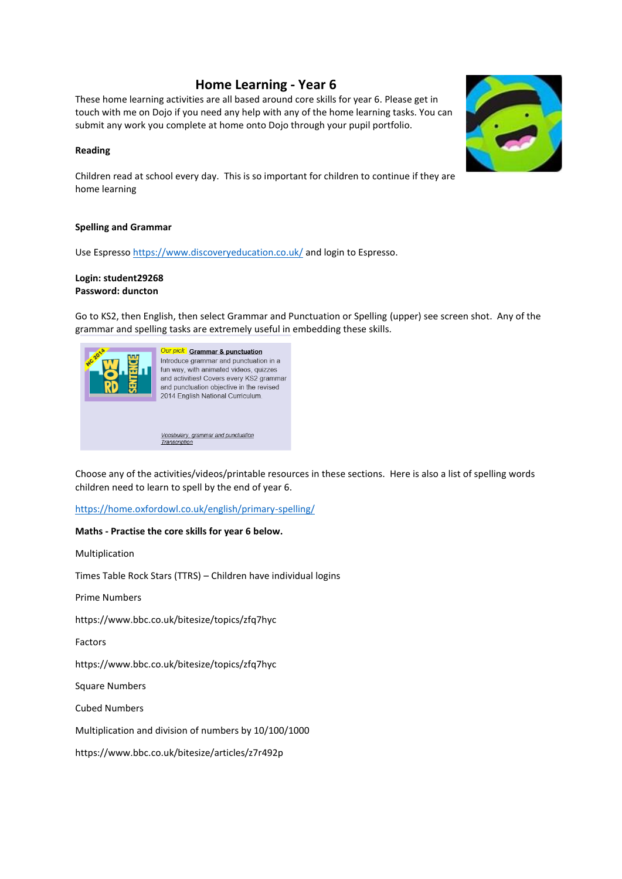# **Home Learning - Year 6**

These home learning activities are all based around core skills for year 6. Please get in touch with me on Dojo if you need any help with any of the home learning tasks. You can submit any work you complete at home onto Dojo through your pupil portfolio.

## **Reading**

Children read at school every day. This is so important for children to continue if they are home learning

#### **Spelling and Grammar**

Use Espresso https://www.discoveryeducation.co.uk/ and login to Espresso.

## **Login: student29268 Password: duncton**

Go to KS2, then English, then select Grammar and Punctuation or Spelling (upper) see screen shot. Any of the grammar and spelling tasks are extremely useful in embedding these skills.



Choose any of the activities/videos/printable resources in these sections. Here is also a list of spelling words children need to learn to spell by the end of year 6.

## https://home.oxfordowl.co.uk/english/primary-spelling/

#### **Maths - Practise the core skills for year 6 below.**

Multiplication

Times Table Rock Stars (TTRS) – Children have individual logins

Prime Numbers

https://www.bbc.co.uk/bitesize/topics/zfq7hyc

Factors

https://www.bbc.co.uk/bitesize/topics/zfq7hyc

Square Numbers

Cubed Numbers

Multiplication and division of numbers by 10/100/1000

https://www.bbc.co.uk/bitesize/articles/z7r492p